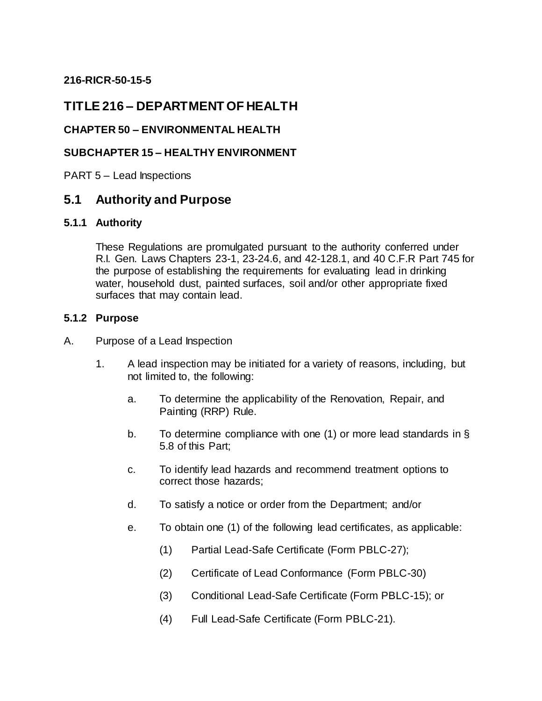## **216-RICR-50-15-5**

## **TITLE 216 – DEPARTMENT OF HEALTH**

### **CHAPTER 50 – ENVIRONMENTAL HEALTH**

### **SUBCHAPTER 15 – HEALTHY ENVIRONMENT**

PART 5 – Lead Inspections

## **5.1 Authority and Purpose**

### **5.1.1 Authority**

These Regulations are promulgated pursuant to the authority conferred under R.I. Gen. Laws Chapters 23-1, 23-24.6, and 42-128.1, and 40 C.F.R Part 745 for the purpose of establishing the requirements for evaluating lead in drinking water, household dust, painted surfaces, soil and/or other appropriate fixed surfaces that may contain lead.

#### **5.1.2 Purpose**

- A. Purpose of a Lead Inspection
	- 1. A lead inspection may be initiated for a variety of reasons, including, but not limited to, the following:
		- a. To determine the applicability of the Renovation, Repair, and Painting (RRP) Rule.
		- b. To determine compliance with one (1) or more lead standards in § 5.8 of this Part;
		- c. To identify lead hazards and recommend treatment options to correct those hazards;
		- d. To satisfy a notice or order from the Department; and/or
		- e. To obtain one (1) of the following lead certificates, as applicable:
			- (1) Partial Lead-Safe Certificate (Form PBLC-27);
			- (2) Certificate of Lead Conformance (Form PBLC-30)
			- (3) Conditional Lead-Safe Certificate (Form PBLC-15); or
			- (4) Full Lead-Safe Certificate (Form PBLC-21).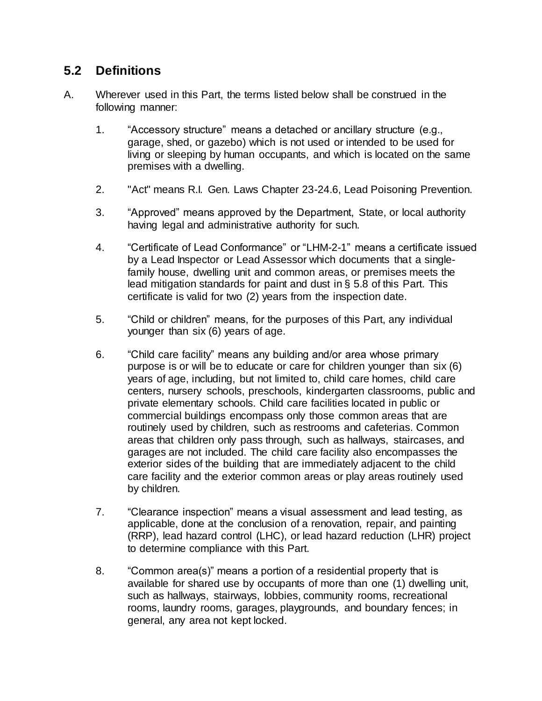## **5.2 Definitions**

- A. Wherever used in this Part, the terms listed below shall be construed in the following manner:
	- 1. "Accessory structure" means a detached or ancillary structure (e.g., garage, shed, or gazebo) which is not used or intended to be used for living or sleeping by human occupants, and which is located on the same premises with a dwelling.
	- 2. "Act" means R.I. Gen. Laws Chapter 23-24.6, Lead Poisoning Prevention.
	- 3. "Approved" means approved by the Department, State, or local authority having legal and administrative authority for such.
	- 4. "Certificate of Lead Conformance" or "LHM-2-1" means a certificate issued by a Lead Inspector or Lead Assessor which documents that a singlefamily house, dwelling unit and common areas, or premises meets the lead mitigation standards for paint and dust in § 5.8 of this Part. This certificate is valid for two (2) years from the inspection date.
	- 5. "Child or children" means, for the purposes of this Part, any individual younger than six (6) years of age.
	- 6. "Child care facility" means any building and/or area whose primary purpose is or will be to educate or care for children younger than six (6) years of age, including, but not limited to, child care homes, child care centers, nursery schools, preschools, kindergarten classrooms, public and private elementary schools. Child care facilities located in public or commercial buildings encompass only those common areas that are routinely used by children, such as restrooms and cafeterias. Common areas that children only pass through, such as hallways, staircases, and garages are not included. The child care facility also encompasses the exterior sides of the building that are immediately adjacent to the child care facility and the exterior common areas or play areas routinely used by children.
	- 7. "Clearance inspection" means a visual assessment and lead testing, as applicable, done at the conclusion of a renovation, repair, and painting (RRP), lead hazard control (LHC), or lead hazard reduction (LHR) project to determine compliance with this Part.
	- 8. "Common area(s)" means a portion of a residential property that is available for shared use by occupants of more than one (1) dwelling unit, such as hallways, stairways, lobbies, community rooms, recreational rooms, laundry rooms, garages, playgrounds, and boundary fences; in general, any area not kept locked.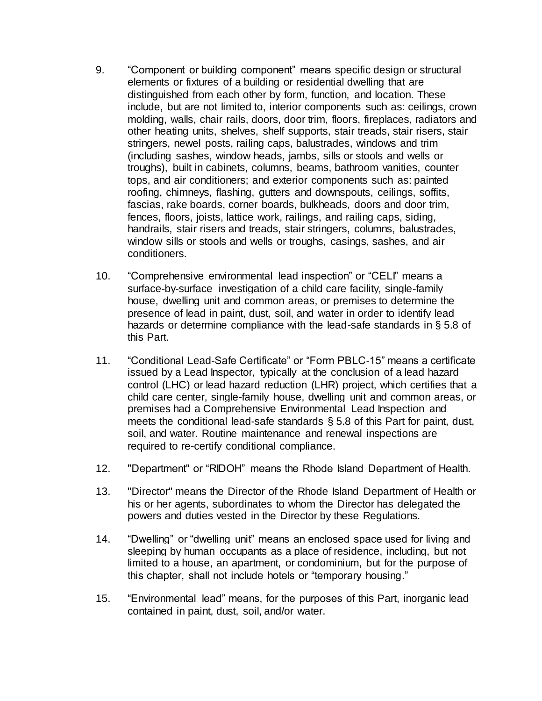- 9. "Component or building component" means specific design or structural elements or fixtures of a building or residential dwelling that are distinguished from each other by form, function, and location. These include, but are not limited to, interior components such as: ceilings, crown molding, walls, chair rails, doors, door trim, floors, fireplaces, radiators and other heating units, shelves, shelf supports, stair treads, stair risers, stair stringers, newel posts, railing caps, balustrades, windows and trim (including sashes, window heads, jambs, sills or stools and wells or troughs), built in cabinets, columns, beams, bathroom vanities, counter tops, and air conditioners; and exterior components such as: painted roofing, chimneys, flashing, gutters and downspouts, ceilings, soffits, fascias, rake boards, corner boards, bulkheads, doors and door trim, fences, floors, joists, lattice work, railings, and railing caps, siding, handrails, stair risers and treads, stair stringers, columns, balustrades, window sills or stools and wells or troughs, casings, sashes, and air conditioners.
- 10. "Comprehensive environmental lead inspection" or "CELI" means a surface-by-surface investigation of a child care facility, single-family house, dwelling unit and common areas, or premises to determine the presence of lead in paint, dust, soil, and water in order to identify lead hazards or determine compliance with the lead-safe standards in § 5.8 of this Part.
- 11. "Conditional Lead-Safe Certificate" or "Form PBLC-15" means a certificate issued by a Lead Inspector, typically at the conclusion of a lead hazard control (LHC) or lead hazard reduction (LHR) project, which certifies that a child care center, single-family house, dwelling unit and common areas, or premises had a Comprehensive Environmental Lead Inspection and meets the conditional lead-safe standards § 5.8 of this Part for paint, dust, soil, and water. Routine maintenance and renewal inspections are required to re-certify conditional compliance.
- 12. "Department" or "RIDOH" means the Rhode Island Department of Health.
- 13. "Director" means the Director of the Rhode Island Department of Health or his or her agents, subordinates to whom the Director has delegated the powers and duties vested in the Director by these Regulations.
- 14. "Dwelling" or "dwelling unit" means an enclosed space used for living and sleeping by human occupants as a place of residence, including, but not limited to a house, an apartment, or condominium, but for the purpose of this chapter, shall not include hotels or "temporary housing."
- 15. "Environmental lead" means, for the purposes of this Part, inorganic lead contained in paint, dust, soil, and/or water.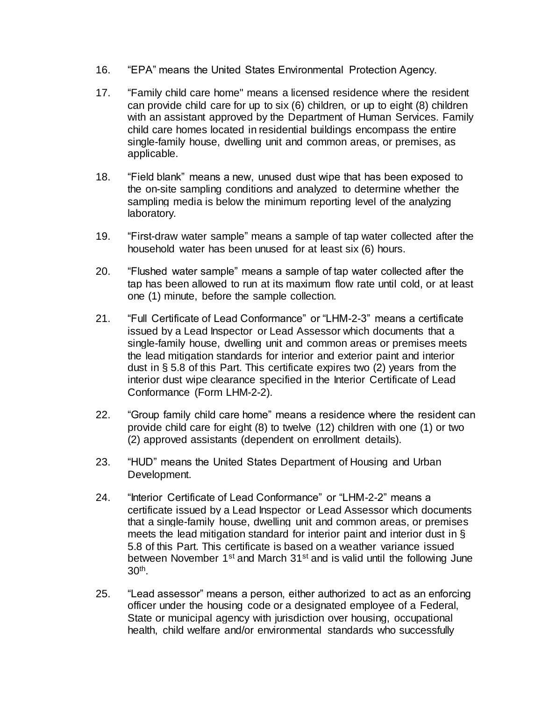- 16. "EPA" means the United States Environmental Protection Agency.
- 17. "Family child care home" means a licensed residence where the resident can provide child care for up to six (6) children, or up to eight (8) children with an assistant approved by the Department of Human Services. Family child care homes located in residential buildings encompass the entire single-family house, dwelling unit and common areas, or premises, as applicable.
- 18. "Field blank" means a new, unused dust wipe that has been exposed to the on-site sampling conditions and analyzed to determine whether the sampling media is below the minimum reporting level of the analyzing laboratory.
- 19. "First-draw water sample" means a sample of tap water collected after the household water has been unused for at least six (6) hours.
- 20. "Flushed water sample" means a sample of tap water collected after the tap has been allowed to run at its maximum flow rate until cold, or at least one (1) minute, before the sample collection.
- 21. "Full Certificate of Lead Conformance" or "LHM-2-3" means a certificate issued by a Lead Inspector or Lead Assessor which documents that a single-family house, dwelling unit and common areas or premises meets the lead mitigation standards for interior and exterior paint and interior dust in § 5.8 of this Part. This certificate expires two (2) years from the interior dust wipe clearance specified in the Interior Certificate of Lead Conformance (Form LHM-2-2).
- 22. "Group family child care home" means a residence where the resident can provide child care for eight (8) to twelve (12) children with one (1) or two (2) approved assistants (dependent on enrollment details).
- 23. "HUD" means the United States Department of Housing and Urban Development.
- 24. "Interior Certificate of Lead Conformance" or "LHM-2-2" means a certificate issued by a Lead Inspector or Lead Assessor which documents that a single-family house, dwelling unit and common areas, or premises meets the lead mitigation standard for interior paint and interior dust in § 5.8 of this Part. This certificate is based on a weather variance issued between November 1<sup>st</sup> and March 31<sup>st</sup> and is valid until the following June 30th .
- 25. "Lead assessor" means a person, either authorized to act as an enforcing officer under the housing code or a designated employee of a Federal, State or municipal agency with jurisdiction over housing, occupational health, child welfare and/or environmental standards who successfully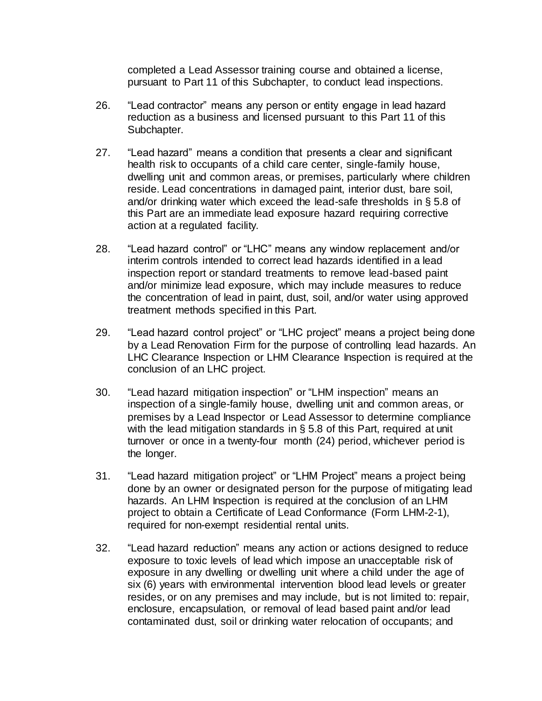completed a Lead Assessor training course and obtained a license, pursuant to Part 11 of this Subchapter, to conduct lead inspections.

- 26. "Lead contractor" means any person or entity engage in lead hazard reduction as a business and licensed pursuant to this Part 11 of this Subchapter.
- 27. "Lead hazard" means a condition that presents a clear and significant health risk to occupants of a child care center, single-family house, dwelling unit and common areas, or premises, particularly where children reside. Lead concentrations in damaged paint, interior dust, bare soil, and/or drinking water which exceed the lead-safe thresholds in § 5.8 of this Part are an immediate lead exposure hazard requiring corrective action at a regulated facility.
- 28. "Lead hazard control" or "LHC" means any window replacement and/or interim controls intended to correct lead hazards identified in a lead inspection report or standard treatments to remove lead-based paint and/or minimize lead exposure, which may include measures to reduce the concentration of lead in paint, dust, soil, and/or water using approved treatment methods specified in this Part.
- 29. "Lead hazard control project" or "LHC project" means a project being done by a Lead Renovation Firm for the purpose of controlling lead hazards. An LHC Clearance Inspection or LHM Clearance Inspection is required at the conclusion of an LHC project.
- 30. "Lead hazard mitigation inspection" or "LHM inspection" means an inspection of a single-family house, dwelling unit and common areas, or premises by a Lead Inspector or Lead Assessor to determine compliance with the lead mitigation standards in § 5.8 of this Part, required at unit turnover or once in a twenty-four month (24) period, whichever period is the longer.
- 31. "Lead hazard mitigation project" or "LHM Project" means a project being done by an owner or designated person for the purpose of mitigating lead hazards. An LHM Inspection is required at the conclusion of an LHM project to obtain a Certificate of Lead Conformance (Form LHM-2-1), required for non-exempt residential rental units.
- 32. "Lead hazard reduction" means any action or actions designed to reduce exposure to toxic levels of lead which impose an unacceptable risk of exposure in any dwelling or dwelling unit where a child under the age of six (6) years with environmental intervention blood lead levels or greater resides, or on any premises and may include, but is not limited to: repair, enclosure, encapsulation, or removal of lead based paint and/or lead contaminated dust, soil or drinking water relocation of occupants; and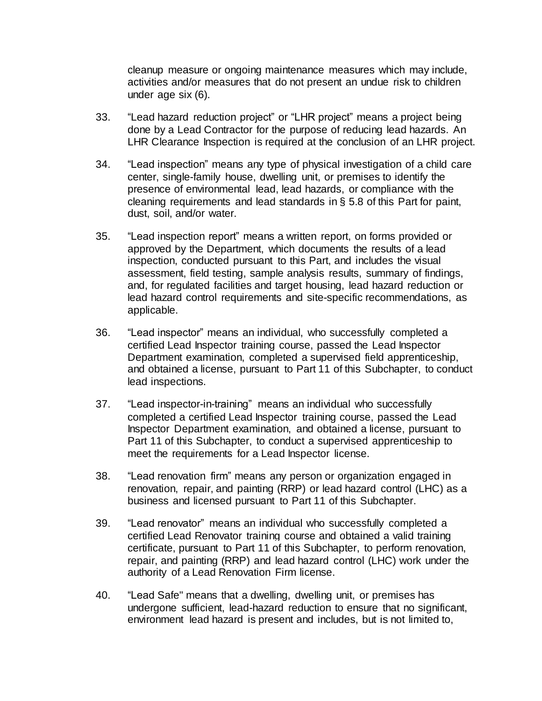cleanup measure or ongoing maintenance measures which may include, activities and/or measures that do not present an undue risk to children under age six (6).

- 33. "Lead hazard reduction project" or "LHR project" means a project being done by a Lead Contractor for the purpose of reducing lead hazards. An LHR Clearance Inspection is required at the conclusion of an LHR project.
- 34. "Lead inspection" means any type of physical investigation of a child care center, single-family house, dwelling unit, or premises to identify the presence of environmental lead, lead hazards, or compliance with the cleaning requirements and lead standards in § 5.8 of this Part for paint, dust, soil, and/or water.
- 35. "Lead inspection report" means a written report, on forms provided or approved by the Department, which documents the results of a lead inspection, conducted pursuant to this Part, and includes the visual assessment, field testing, sample analysis results, summary of findings, and, for regulated facilities and target housing, lead hazard reduction or lead hazard control requirements and site-specific recommendations, as applicable.
- 36. "Lead inspector" means an individual, who successfully completed a certified Lead Inspector training course, passed the Lead Inspector Department examination, completed a supervised field apprenticeship, and obtained a license, pursuant to Part 11 of this Subchapter, to conduct lead inspections.
- 37. "Lead inspector-in-training" means an individual who successfully completed a certified Lead Inspector training course, passed the Lead Inspector Department examination, and obtained a license, pursuant to Part 11 of this Subchapter, to conduct a supervised apprenticeship to meet the requirements for a Lead Inspector license.
- 38. "Lead renovation firm" means any person or organization engaged in renovation, repair, and painting (RRP) or lead hazard control (LHC) as a business and licensed pursuant to Part 11 of this Subchapter.
- 39. "Lead renovator" means an individual who successfully completed a certified Lead Renovator training course and obtained a valid training certificate, pursuant to Part 11 of this Subchapter, to perform renovation, repair, and painting (RRP) and lead hazard control (LHC) work under the authority of a Lead Renovation Firm license.
- 40. "Lead Safe" means that a dwelling, dwelling unit, or premises has undergone sufficient, lead-hazard reduction to ensure that no significant, environment lead hazard is present and includes, but is not limited to,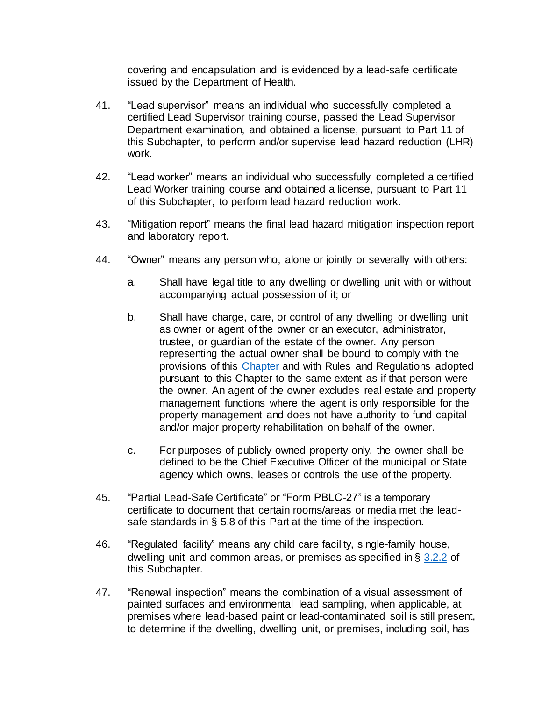covering and encapsulation and is evidenced by a lead-safe certificate issued by the Department of Health.

- 41. "Lead supervisor" means an individual who successfully completed a certified Lead Supervisor training course, passed the Lead Supervisor Department examination, and obtained a license, pursuant to Part 11 of this Subchapter, to perform and/or supervise lead hazard reduction (LHR) work.
- 42. "Lead worker" means an individual who successfully completed a certified Lead Worker training course and obtained a license, pursuant to Part 11 of this Subchapter, to perform lead hazard reduction work.
- 43. "Mitigation report" means the final lead hazard mitigation inspection report and laboratory report.
- 44. "Owner" means any person who, alone or jointly or severally with others:
	- a. Shall have legal title to any dwelling or dwelling unit with or without accompanying actual possession of it; or
	- b. Shall have charge, care, or control of any dwelling or dwelling unit as owner or agent of the owner or an executor, administrator, trustee, or guardian of the estate of the owner. Any person representing the actual owner shall be bound to comply with the provisions of this [Chapter](https://rules.sos.ri.gov/organizations/chapter/216-50) and with Rules and Regulations adopted pursuant to this Chapter to the same extent as if that person were the owner. An agent of the owner excludes real estate and property management functions where the agent is only responsible for the property management and does not have authority to fund capital and/or major property rehabilitation on behalf of the owner.
	- c. For purposes of publicly owned property only, the owner shall be defined to be the Chief Executive Officer of the municipal or State agency which owns, leases or controls the use of the property.
- 45. "Partial Lead-Safe Certificate" or "Form PBLC-27" is a temporary certificate to document that certain rooms/areas or media met the leadsafe standards in § 5.8 of this Part at the time of the inspection.
- 46. "Regulated facility" means any child care facility, single-family house, dwelling unit and common areas, or premises as specified in § [3.2.2](https://rules.sos.ri.gov/regulations/part/216-50-15-3) of this Subchapter.
- 47. "Renewal inspection" means the combination of a visual assessment of painted surfaces and environmental lead sampling, when applicable, at premises where lead-based paint or lead-contaminated soil is still present, to determine if the dwelling, dwelling unit, or premises, including soil, has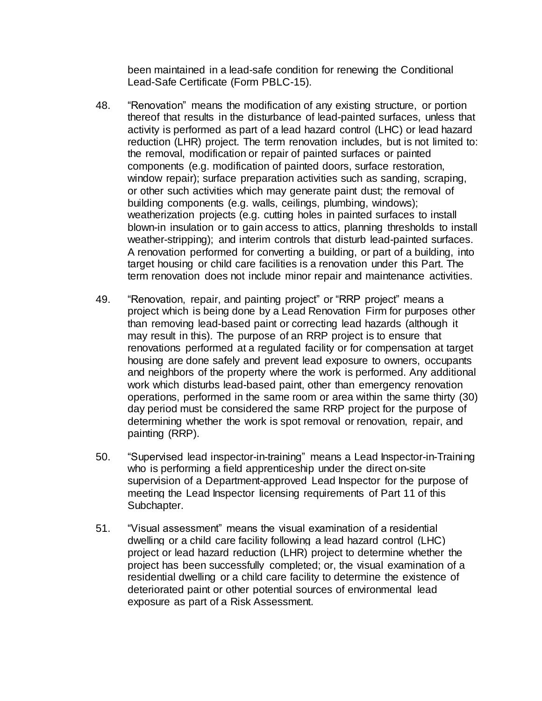been maintained in a lead-safe condition for renewing the Conditional Lead-Safe Certificate (Form PBLC-15).

- 48. "Renovation" means the modification of any existing structure, or portion thereof that results in the disturbance of lead-painted surfaces, unless that activity is performed as part of a lead hazard control (LHC) or lead hazard reduction (LHR) project. The term renovation includes, but is not limited to: the removal, modification or repair of painted surfaces or painted components (e.g. modification of painted doors, surface restoration, window repair); surface preparation activities such as sanding, scraping, or other such activities which may generate paint dust; the removal of building components (e.g. walls, ceilings, plumbing, windows); weatherization projects (e.g. cutting holes in painted surfaces to install blown-in insulation or to gain access to attics, planning thresholds to install weather-stripping); and interim controls that disturb lead-painted surfaces. A renovation performed for converting a building, or part of a building, into target housing or child care facilities is a renovation under this Part. The term renovation does not include minor repair and maintenance activities.
- 49. "Renovation, repair, and painting project" or "RRP project" means a project which is being done by a Lead Renovation Firm for purposes other than removing lead-based paint or correcting lead hazards (although it may result in this). The purpose of an RRP project is to ensure that renovations performed at a regulated facility or for compensation at target housing are done safely and prevent lead exposure to owners, occupants and neighbors of the property where the work is performed. Any additional work which disturbs lead-based paint, other than emergency renovation operations, performed in the same room or area within the same thirty (30) day period must be considered the same RRP project for the purpose of determining whether the work is spot removal or renovation, repair, and painting (RRP).
- 50. "Supervised lead inspector-in-training" means a Lead Inspector-in-Training who is performing a field apprenticeship under the direct on-site supervision of a Department-approved Lead Inspector for the purpose of meeting the Lead Inspector licensing requirements of Part 11 of this Subchapter.
- 51. "Visual assessment" means the visual examination of a residential dwelling or a child care facility following a lead hazard control (LHC) project or lead hazard reduction (LHR) project to determine whether the project has been successfully completed; or, the visual examination of a residential dwelling or a child care facility to determine the existence of deteriorated paint or other potential sources of environmental lead exposure as part of a Risk Assessment.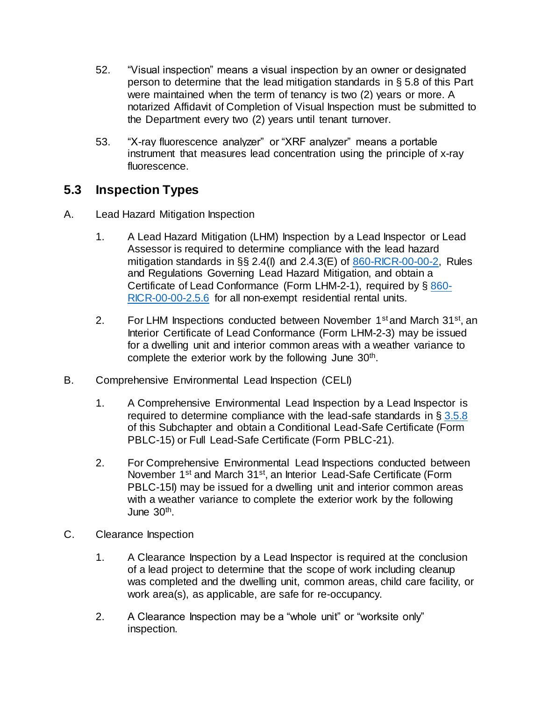- 52. "Visual inspection" means a visual inspection by an owner or designated person to determine that the lead mitigation standards in § 5.8 of this Part were maintained when the term of tenancy is two (2) years or more. A notarized Affidavit of Completion of Visual Inspection must be submitted to the Department every two (2) years until tenant turnover.
- 53. "X-ray fluorescence analyzer" or "XRF analyzer" means a portable instrument that measures lead concentration using the principle of x-ray fluorescence.

## **5.3 Inspection Types**

- A. Lead Hazard Mitigation Inspection
	- 1. A Lead Hazard Mitigation (LHM) Inspection by a Lead Inspector or Lead Assessor is required to determine compliance with the lead hazard mitigation standards in  $\S$  2.4(I) and 2.4.3(E) of  $860$ -RICR-00-00-2, Rules and Regulations Governing Lead Hazard Mitigation, and obtain a Certificate of Lead Conformance (Form LHM-2-1), required by § [860-](https://rules.sos.ri.gov/regulations/part/860-00-00-2) [RICR-00-00-2.5.6](https://rules.sos.ri.gov/regulations/part/860-00-00-2) for all non-exempt residential rental units.
	- 2. For LHM Inspections conducted between November 1<sup>st</sup> and March 31<sup>st</sup>, an Interior Certificate of Lead Conformance (Form LHM-2-3) may be issued for a dwelling unit and interior common areas with a weather variance to complete the exterior work by the following June 30<sup>th</sup>.
- B. Comprehensive Environmental Lead Inspection (CELI)
	- 1. A Comprehensive Environmental Lead Inspection by a Lead Inspector is required to determine compliance with the lead-safe standards in  $\S 3.5.8$ of this Subchapter and obtain a Conditional Lead-Safe Certificate (Form PBLC-15) or Full Lead-Safe Certificate (Form PBLC-21).
	- 2. For Comprehensive Environmental Lead Inspections conducted between November 1<sup>st</sup> and March 31<sup>st</sup>, an Interior Lead-Safe Certificate (Form PBLC-15I) may be issued for a dwelling unit and interior common areas with a weather variance to complete the exterior work by the following June 30th .
- C. Clearance Inspection
	- 1. A Clearance Inspection by a Lead Inspector is required at the conclusion of a lead project to determine that the scope of work including cleanup was completed and the dwelling unit, common areas, child care facility, or work area(s), as applicable, are safe for re-occupancy.
	- 2. A Clearance Inspection may be a "whole unit" or "worksite only" inspection.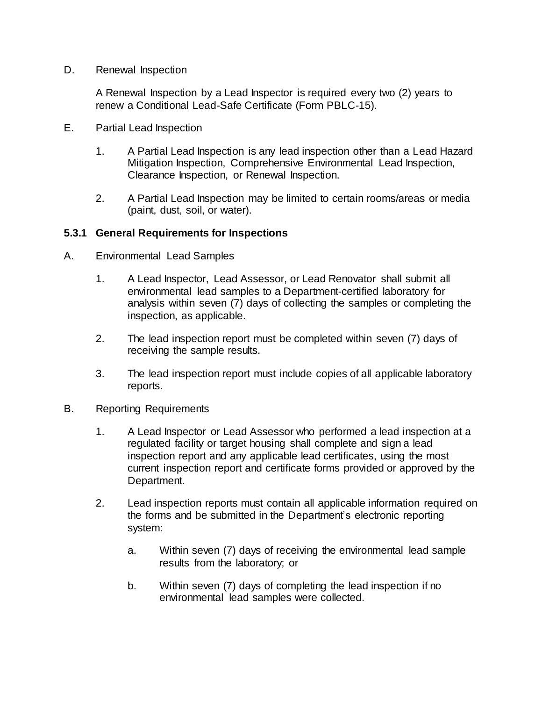D. Renewal Inspection

A Renewal Inspection by a Lead Inspector is required every two (2) years to renew a Conditional Lead-Safe Certificate (Form PBLC-15).

- E. Partial Lead Inspection
	- 1. A Partial Lead Inspection is any lead inspection other than a Lead Hazard Mitigation Inspection, Comprehensive Environmental Lead Inspection, Clearance Inspection, or Renewal Inspection.
	- 2. A Partial Lead Inspection may be limited to certain rooms/areas or media (paint, dust, soil, or water).

#### **5.3.1 General Requirements for Inspections**

- A. Environmental Lead Samples
	- 1. A Lead Inspector, Lead Assessor, or Lead Renovator shall submit all environmental lead samples to a Department-certified laboratory for analysis within seven (7) days of collecting the samples or completing the inspection, as applicable.
	- 2. The lead inspection report must be completed within seven (7) days of receiving the sample results.
	- 3. The lead inspection report must include copies of all applicable laboratory reports.
- B. Reporting Requirements
	- 1. A Lead Inspector or Lead Assessor who performed a lead inspection at a regulated facility or target housing shall complete and sign a lead inspection report and any applicable lead certificates, using the most current inspection report and certificate forms provided or approved by the Department.
	- 2. Lead inspection reports must contain all applicable information required on the forms and be submitted in the Department's electronic reporting system:
		- a. Within seven (7) days of receiving the environmental lead sample results from the laboratory; or
		- b. Within seven (7) days of completing the lead inspection if no environmental lead samples were collected.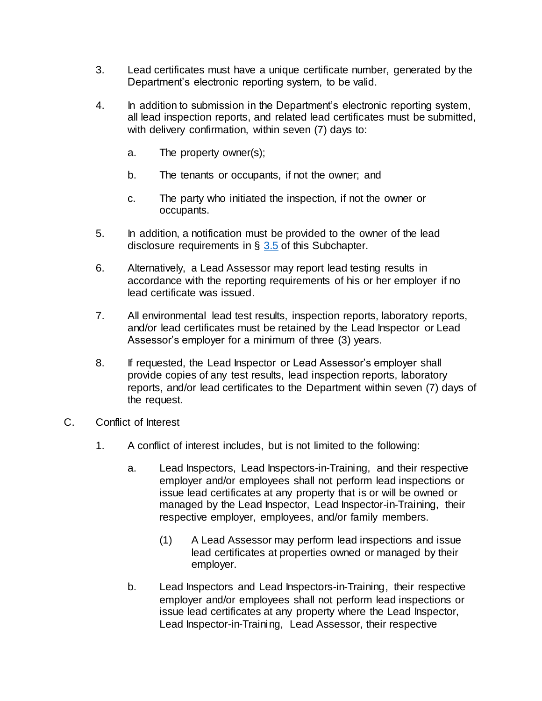- 3. Lead certificates must have a unique certificate number, generated by the Department's electronic reporting system, to be valid.
- 4. In addition to submission in the Department's electronic reporting system, all lead inspection reports, and related lead certificates must be submitted, with delivery confirmation, within seven (7) days to:
	- a. The property owner(s);
	- b. The tenants or occupants, if not the owner; and
	- c. The party who initiated the inspection, if not the owner or occupants.
- 5. In addition, a notification must be provided to the owner of the lead disclosure requirements in  $\S$  [3.5](https://rules.sos.ri.gov/regulations/part/216-50-15-3) of this Subchapter.
- 6. Alternatively, a Lead Assessor may report lead testing results in accordance with the reporting requirements of his or her employer if no lead certificate was issued.
- 7. All environmental lead test results, inspection reports, laboratory reports, and/or lead certificates must be retained by the Lead Inspector or Lead Assessor's employer for a minimum of three (3) years.
- 8. If requested, the Lead Inspector or Lead Assessor's employer shall provide copies of any test results, lead inspection reports, laboratory reports, and/or lead certificates to the Department within seven (7) days of the request.
- C. Conflict of Interest
	- 1. A conflict of interest includes, but is not limited to the following:
		- a. Lead Inspectors, Lead Inspectors-in-Training, and their respective employer and/or employees shall not perform lead inspections or issue lead certificates at any property that is or will be owned or managed by the Lead Inspector, Lead Inspector-in-Training, their respective employer, employees, and/or family members.
			- (1) A Lead Assessor may perform lead inspections and issue lead certificates at properties owned or managed by their employer.
		- b. Lead Inspectors and Lead Inspectors-in-Training, their respective employer and/or employees shall not perform lead inspections or issue lead certificates at any property where the Lead Inspector, Lead Inspector-in-Training, Lead Assessor, their respective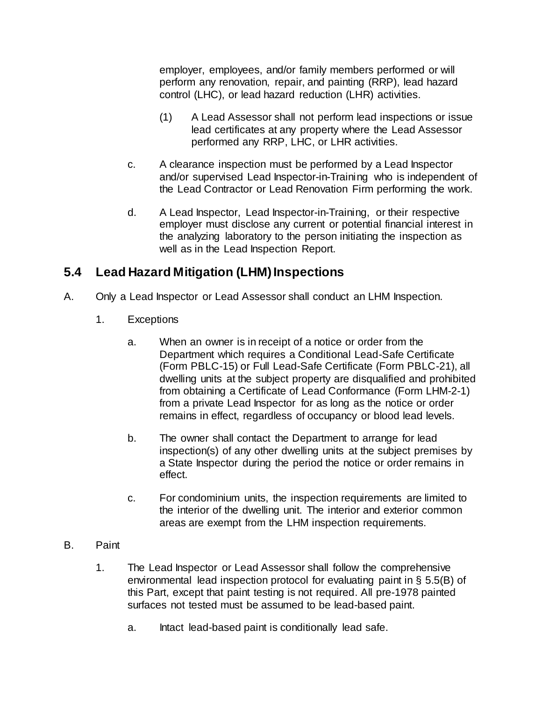employer, employees, and/or family members performed or will perform any renovation, repair, and painting (RRP), lead hazard control (LHC), or lead hazard reduction (LHR) activities.

- (1) A Lead Assessor shall not perform lead inspections or issue lead certificates at any property where the Lead Assessor performed any RRP, LHC, or LHR activities.
- c. A clearance inspection must be performed by a Lead Inspector and/or supervised Lead Inspector-in-Training who is independent of the Lead Contractor or Lead Renovation Firm performing the work.
- d. A Lead Inspector, Lead Inspector-in-Training, or their respective employer must disclose any current or potential financial interest in the analyzing laboratory to the person initiating the inspection as well as in the Lead Inspection Report.

# **5.4 Lead Hazard Mitigation (LHM) Inspections**

- A. Only a Lead Inspector or Lead Assessor shall conduct an LHM Inspection.
	- 1. Exceptions
		- a. When an owner is in receipt of a notice or order from the Department which requires a Conditional Lead-Safe Certificate (Form PBLC-15) or Full Lead-Safe Certificate (Form PBLC-21), all dwelling units at the subject property are disqualified and prohibited from obtaining a Certificate of Lead Conformance (Form LHM-2-1) from a private Lead Inspector for as long as the notice or order remains in effect, regardless of occupancy or blood lead levels.
		- b. The owner shall contact the Department to arrange for lead inspection(s) of any other dwelling units at the subject premises by a State Inspector during the period the notice or order remains in effect.
		- c. For condominium units, the inspection requirements are limited to the interior of the dwelling unit. The interior and exterior common areas are exempt from the LHM inspection requirements.

## B. Paint

- 1. The Lead Inspector or Lead Assessor shall follow the comprehensive environmental lead inspection protocol for evaluating paint in § 5.5(B) of this Part, except that paint testing is not required. All pre-1978 painted surfaces not tested must be assumed to be lead-based paint.
	- a. Intact lead-based paint is conditionally lead safe.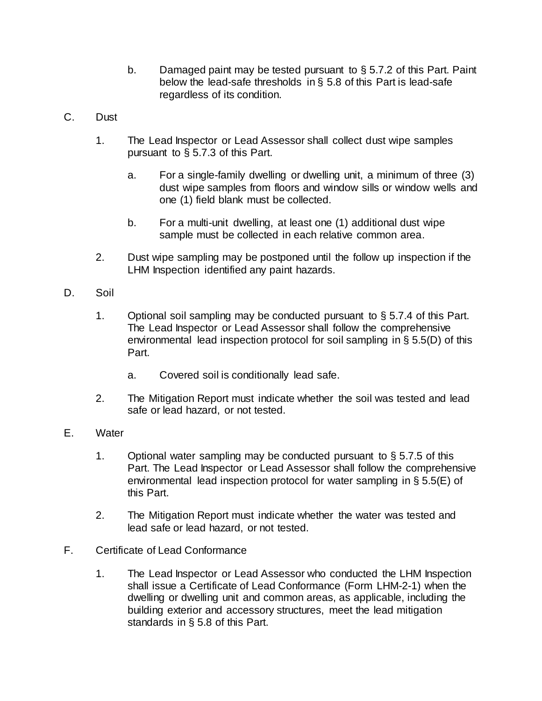- b. Damaged paint may be tested pursuant to § 5.7.2 of this Part. Paint below the lead-safe thresholds in § 5.8 of this Part is lead-safe regardless of its condition.
- C. Dust
	- 1. The Lead Inspector or Lead Assessor shall collect dust wipe samples pursuant to § 5.7.3 of this Part.
		- a. For a single-family dwelling or dwelling unit, a minimum of three (3) dust wipe samples from floors and window sills or window wells and one (1) field blank must be collected.
		- b. For a multi-unit dwelling, at least one (1) additional dust wipe sample must be collected in each relative common area.
	- 2. Dust wipe sampling may be postponed until the follow up inspection if the LHM Inspection identified any paint hazards.
- D. Soil
	- 1. Optional soil sampling may be conducted pursuant to § 5.7.4 of this Part. The Lead Inspector or Lead Assessor shall follow the comprehensive environmental lead inspection protocol for soil sampling in § 5.5(D) of this Part.
		- a. Covered soil is conditionally lead safe.
	- 2. The Mitigation Report must indicate whether the soil was tested and lead safe or lead hazard, or not tested.
- E. Water
	- 1. Optional water sampling may be conducted pursuant to § 5.7.5 of this Part. The Lead Inspector or Lead Assessor shall follow the comprehensive environmental lead inspection protocol for water sampling in § 5.5(E) of this Part.
	- 2. The Mitigation Report must indicate whether the water was tested and lead safe or lead hazard, or not tested.
- F. Certificate of Lead Conformance
	- 1. The Lead Inspector or Lead Assessor who conducted the LHM Inspection shall issue a Certificate of Lead Conformance (Form LHM-2-1) when the dwelling or dwelling unit and common areas, as applicable, including the building exterior and accessory structures, meet the lead mitigation standards in § 5.8 of this Part.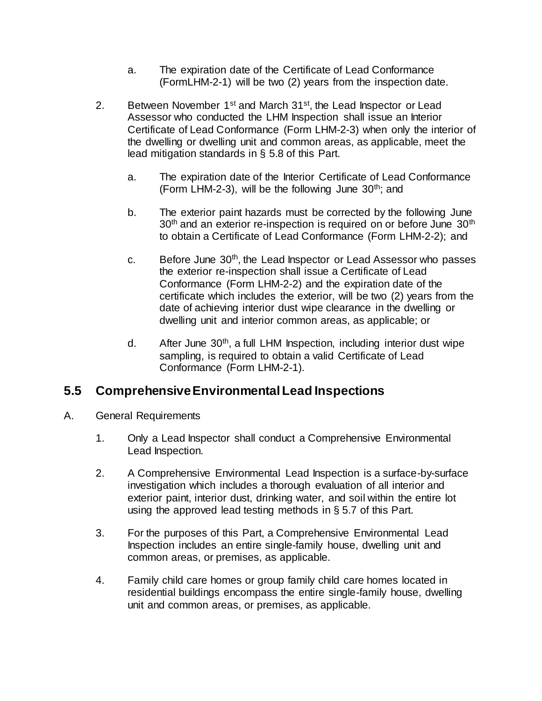- a. The expiration date of the Certificate of Lead Conformance (FormLHM-2-1) will be two (2) years from the inspection date.
- 2. Between November  $1^{st}$  and March  $31^{st}$ , the Lead Inspector or Lead Assessor who conducted the LHM Inspection shall issue an Interior Certificate of Lead Conformance (Form LHM-2-3) when only the interior of the dwelling or dwelling unit and common areas, as applicable, meet the lead mitigation standards in § 5.8 of this Part.
	- a. The expiration date of the Interior Certificate of Lead Conformance (Form LHM-2-3), will be the following June  $30<sup>th</sup>$ ; and
	- b. The exterior paint hazards must be corrected by the following June  $30<sup>th</sup>$  and an exterior re-inspection is required on or before June  $30<sup>th</sup>$ to obtain a Certificate of Lead Conformance (Form LHM-2-2); and
	- c. Before June 30<sup>th</sup>, the Lead Inspector or Lead Assessor who passes the exterior re-inspection shall issue a Certificate of Lead Conformance (Form LHM-2-2) and the expiration date of the certificate which includes the exterior, will be two (2) years from the date of achieving interior dust wipe clearance in the dwelling or dwelling unit and interior common areas, as applicable; or
	- d. After June  $30<sup>th</sup>$ , a full LHM Inspection, including interior dust wipe sampling, is required to obtain a valid Certificate of Lead Conformance (Form LHM-2-1).

## **5.5 Comprehensive Environmental Lead Inspections**

- A. General Requirements
	- 1. Only a Lead Inspector shall conduct a Comprehensive Environmental Lead Inspection.
	- 2. A Comprehensive Environmental Lead Inspection is a surface-by-surface investigation which includes a thorough evaluation of all interior and exterior paint, interior dust, drinking water, and soil within the entire lot using the approved lead testing methods in § 5.7 of this Part.
	- 3. For the purposes of this Part, a Comprehensive Environmental Lead Inspection includes an entire single-family house, dwelling unit and common areas, or premises, as applicable.
	- 4. Family child care homes or group family child care homes located in residential buildings encompass the entire single-family house, dwelling unit and common areas, or premises, as applicable.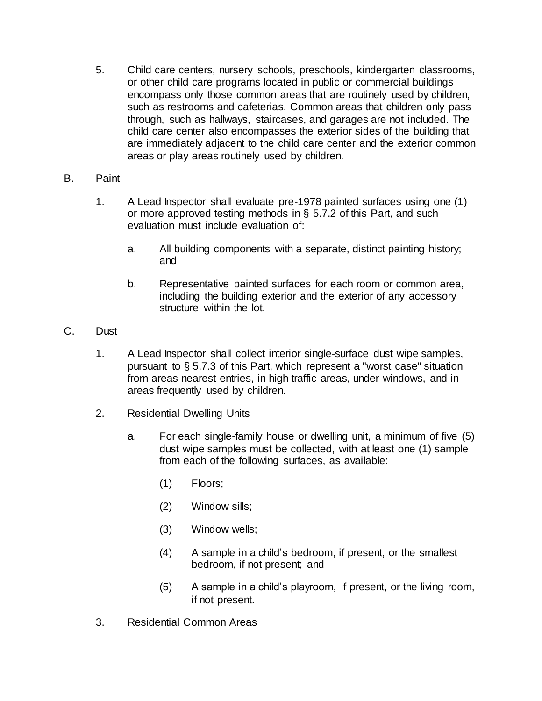- 5. Child care centers, nursery schools, preschools, kindergarten classrooms, or other child care programs located in public or commercial buildings encompass only those common areas that are routinely used by children, such as restrooms and cafeterias. Common areas that children only pass through, such as hallways, staircases, and garages are not included. The child care center also encompasses the exterior sides of the building that are immediately adjacent to the child care center and the exterior common areas or play areas routinely used by children.
- B. Paint
	- 1. A Lead Inspector shall evaluate pre-1978 painted surfaces using one (1) or more approved testing methods in § 5.7.2 of this Part, and such evaluation must include evaluation of:
		- a. All building components with a separate, distinct painting history; and
		- b. Representative painted surfaces for each room or common area, including the building exterior and the exterior of any accessory structure within the lot.
- C. Dust
	- 1. A Lead Inspector shall collect interior single-surface dust wipe samples, pursuant to § 5.7.3 of this Part, which represent a "worst case" situation from areas nearest entries, in high traffic areas, under windows, and in areas frequently used by children.
	- 2. Residential Dwelling Units
		- a. For each single-family house or dwelling unit, a minimum of five (5) dust wipe samples must be collected, with at least one (1) sample from each of the following surfaces, as available:
			- (1) Floors;
			- (2) Window sills;
			- (3) Window wells;
			- (4) A sample in a child's bedroom, if present, or the smallest bedroom, if not present; and
			- (5) A sample in a child's playroom, if present, or the living room, if not present.
	- 3. Residential Common Areas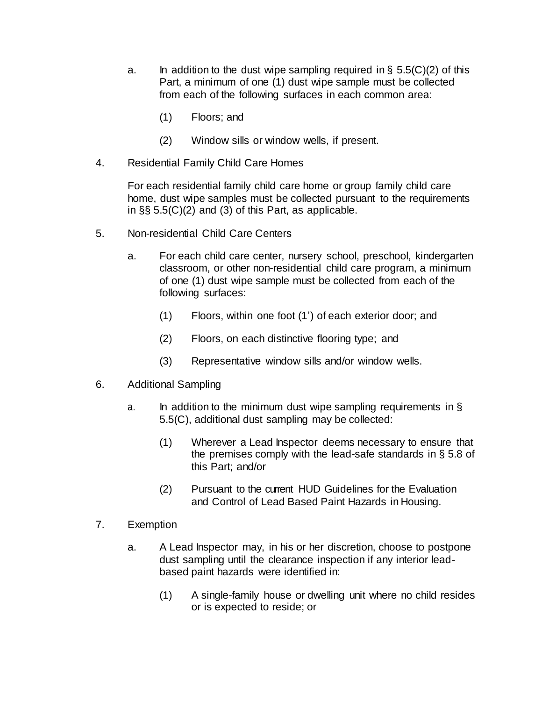- a. In addition to the dust wipe sampling required in  $\S$  5.5(C)(2) of this Part, a minimum of one (1) dust wipe sample must be collected from each of the following surfaces in each common area:
	- (1) Floors; and
	- (2) Window sills or window wells, if present.
- 4. Residential Family Child Care Homes

For each residential family child care home or group family child care home, dust wipe samples must be collected pursuant to the requirements in §§ 5.5(C)(2) and (3) of this Part, as applicable.

- 5. Non-residential Child Care Centers
	- a. For each child care center, nursery school, preschool, kindergarten classroom, or other non-residential child care program, a minimum of one (1) dust wipe sample must be collected from each of the following surfaces:
		- (1) Floors, within one foot (1') of each exterior door; and
		- (2) Floors, on each distinctive flooring type; and
		- (3) Representative window sills and/or window wells.
- 6. Additional Sampling
	- a. In addition to the minimum dust wipe sampling requirements in  $\S$ 5.5(C), additional dust sampling may be collected:
		- (1) Wherever a Lead Inspector deems necessary to ensure that the premises comply with the lead-safe standards in § 5.8 of this Part; and/or
		- (2) Pursuant to the current HUD Guidelines for the Evaluation and Control of Lead Based Paint Hazards in Housing.
- 7. Exemption
	- a. A Lead Inspector may, in his or her discretion, choose to postpone dust sampling until the clearance inspection if any interior leadbased paint hazards were identified in:
		- (1) A single-family house or dwelling unit where no child resides or is expected to reside; or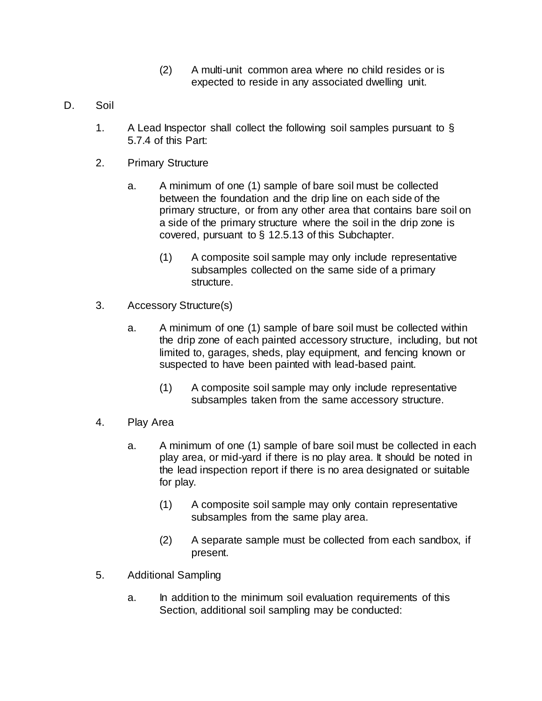- (2) A multi-unit common area where no child resides or is expected to reside in any associated dwelling unit.
- D. Soil
	- 1. A Lead Inspector shall collect the following soil samples pursuant to  $\S$ 5.7.4 of this Part:
	- 2. Primary Structure
		- a. A minimum of one (1) sample of bare soil must be collected between the foundation and the drip line on each side of the primary structure, or from any other area that contains bare soil on a side of the primary structure where the soil in the drip zone is covered, pursuant to § 12.5.13 of this Subchapter.
			- (1) A composite soil sample may only include representative subsamples collected on the same side of a primary structure.
	- 3. Accessory Structure(s)
		- a. A minimum of one (1) sample of bare soil must be collected within the drip zone of each painted accessory structure, including, but not limited to, garages, sheds, play equipment, and fencing known or suspected to have been painted with lead-based paint.
			- (1) A composite soil sample may only include representative subsamples taken from the same accessory structure.
	- 4. Play Area
		- a. A minimum of one (1) sample of bare soil must be collected in each play area, or mid-yard if there is no play area. It should be noted in the lead inspection report if there is no area designated or suitable for play.
			- (1) A composite soil sample may only contain representative subsamples from the same play area.
			- (2) A separate sample must be collected from each sandbox, if present.
	- 5. Additional Sampling
		- a. In addition to the minimum soil evaluation requirements of this Section, additional soil sampling may be conducted: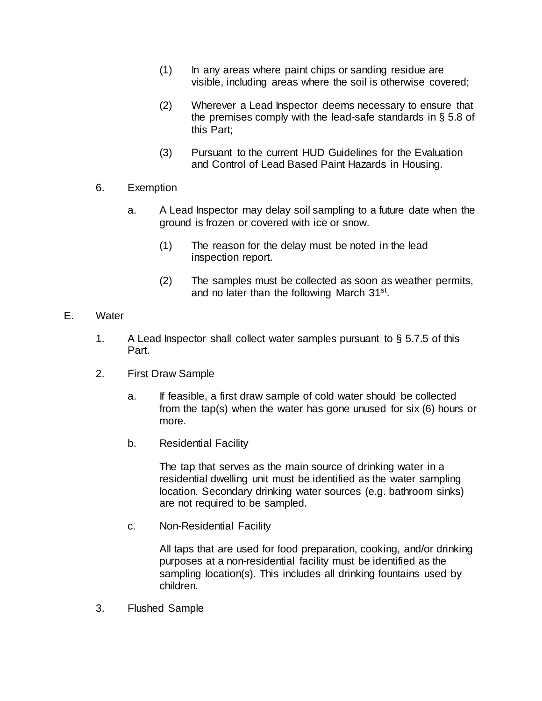- (1) In any areas where paint chips or sanding residue are visible, including areas where the soil is otherwise covered;
- (2) Wherever a Lead Inspector deems necessary to ensure that the premises comply with the lead-safe standards in § 5.8 of this Part;
- (3) Pursuant to the current HUD Guidelines for the Evaluation and Control of Lead Based Paint Hazards in Housing.
- 6. Exemption
	- a. A Lead Inspector may delay soil sampling to a future date when the ground is frozen or covered with ice or snow.
		- (1) The reason for the delay must be noted in the lead inspection report.
		- (2) The samples must be collected as soon as weather permits, and no later than the following March 31<sup>st</sup>.
- E. Water
	- 1. A Lead Inspector shall collect water samples pursuant to  $\S 5.7.5$  of this Part.
	- 2. First Draw Sample
		- a. If feasible, a first draw sample of cold water should be collected from the tap(s) when the water has gone unused for six (6) hours or more.
		- b. Residential Facility

The tap that serves as the main source of drinking water in a residential dwelling unit must be identified as the water sampling location. Secondary drinking water sources (e.g. bathroom sinks) are not required to be sampled.

c. Non-Residential Facility

All taps that are used for food preparation, cooking, and/or drinking purposes at a non-residential facility must be identified as the sampling location(s). This includes all drinking fountains used by children.

3. Flushed Sample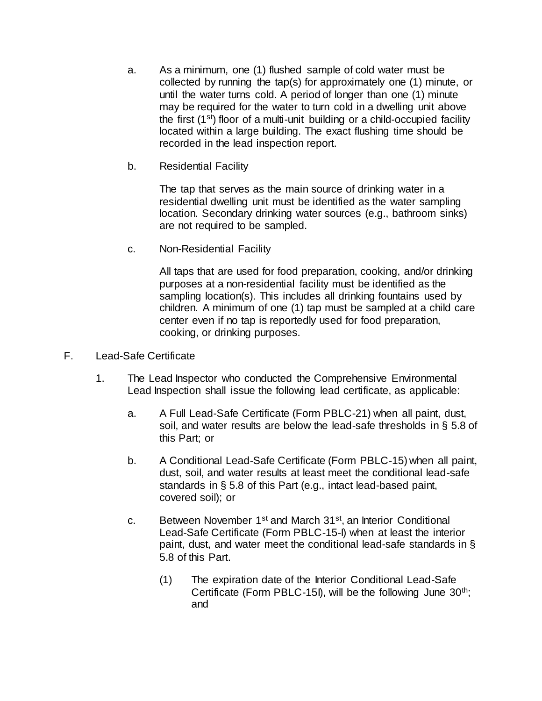- a. As a minimum, one (1) flushed sample of cold water must be collected by running the tap(s) for approximately one (1) minute, or until the water turns cold. A period of longer than one (1) minute may be required for the water to turn cold in a dwelling unit above the first (1st) floor of a multi-unit building or a child-occupied facility located within a large building. The exact flushing time should be recorded in the lead inspection report.
- b. Residential Facility

The tap that serves as the main source of drinking water in a residential dwelling unit must be identified as the water sampling location. Secondary drinking water sources (e.g., bathroom sinks) are not required to be sampled.

c. Non-Residential Facility

All taps that are used for food preparation, cooking, and/or drinking purposes at a non-residential facility must be identified as the sampling location(s). This includes all drinking fountains used by children. A minimum of one (1) tap must be sampled at a child care center even if no tap is reportedly used for food preparation, cooking, or drinking purposes.

- F. Lead-Safe Certificate
	- 1. The Lead Inspector who conducted the Comprehensive Environmental Lead Inspection shall issue the following lead certificate, as applicable:
		- a. A Full Lead-Safe Certificate (Form PBLC-21) when all paint, dust, soil, and water results are below the lead-safe thresholds in § 5.8 of this Part; or
		- b. A Conditional Lead-Safe Certificate (Form PBLC-15) when all paint, dust, soil, and water results at least meet the conditional lead-safe standards in § 5.8 of this Part (e.g., intact lead-based paint, covered soil); or
		- c. Between November 1st and March 31st, an Interior Conditional Lead-Safe Certificate (Form PBLC-15-I) when at least the interior paint, dust, and water meet the conditional lead-safe standards in § 5.8 of this Part.
			- (1) The expiration date of the Interior Conditional Lead-Safe Certificate (Form PBLC-15I), will be the following June  $30<sup>th</sup>$ ; and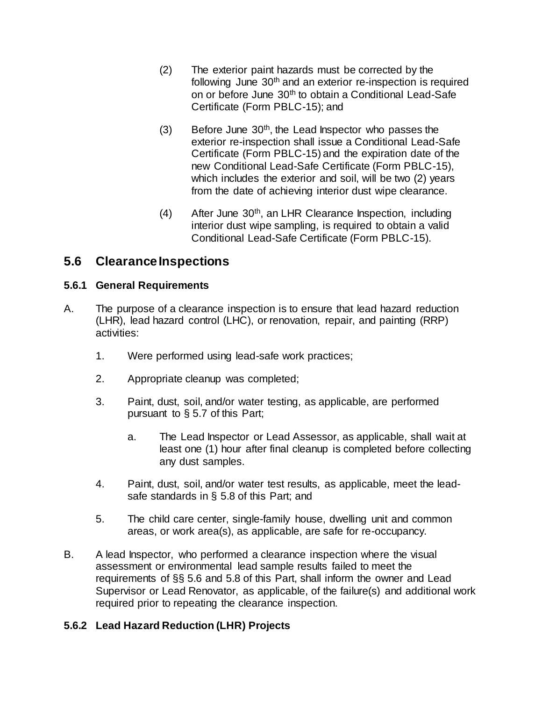- (2) The exterior paint hazards must be corrected by the following June 30<sup>th</sup> and an exterior re-inspection is required on or before June 30<sup>th</sup> to obtain a Conditional Lead-Safe Certificate (Form PBLC-15); and
- $(3)$  Before June 30<sup>th</sup>, the Lead Inspector who passes the exterior re-inspection shall issue a Conditional Lead-Safe Certificate (Form PBLC-15) and the expiration date of the new Conditional Lead-Safe Certificate (Form PBLC-15), which includes the exterior and soil, will be two (2) years from the date of achieving interior dust wipe clearance.
- (4) After June  $30<sup>th</sup>$ , an LHR Clearance Inspection, including interior dust wipe sampling, is required to obtain a valid Conditional Lead-Safe Certificate (Form PBLC-15).

## **5.6 Clearance Inspections**

## **5.6.1 General Requirements**

- A. The purpose of a clearance inspection is to ensure that lead hazard reduction (LHR), lead hazard control (LHC), or renovation, repair, and painting (RRP) activities:
	- 1. Were performed using lead-safe work practices;
	- 2. Appropriate cleanup was completed;
	- 3. Paint, dust, soil, and/or water testing, as applicable, are performed pursuant to § 5.7 of this Part;
		- a. The Lead Inspector or Lead Assessor, as applicable, shall wait at least one (1) hour after final cleanup is completed before collecting any dust samples.
	- 4. Paint, dust, soil, and/or water test results, as applicable, meet the leadsafe standards in § 5.8 of this Part; and
	- 5. The child care center, single-family house, dwelling unit and common areas, or work area(s), as applicable, are safe for re-occupancy.
- B. A lead Inspector, who performed a clearance inspection where the visual assessment or environmental lead sample results failed to meet the requirements of §§ 5.6 and 5.8 of this Part, shall inform the owner and Lead Supervisor or Lead Renovator, as applicable, of the failure(s) and additional work required prior to repeating the clearance inspection.

## **5.6.2 Lead Hazard Reduction (LHR) Projects**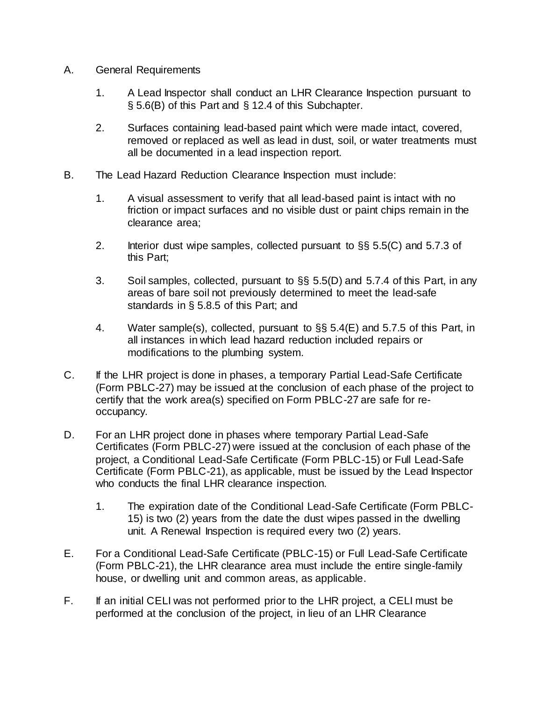- A. General Requirements
	- 1. A Lead Inspector shall conduct an LHR Clearance Inspection pursuant to § 5.6(B) of this Part and § 12.4 of this Subchapter.
	- 2. Surfaces containing lead-based paint which were made intact, covered, removed or replaced as well as lead in dust, soil, or water treatments must all be documented in a lead inspection report.
- B. The Lead Hazard Reduction Clearance Inspection must include:
	- 1. A visual assessment to verify that all lead-based paint is intact with no friction or impact surfaces and no visible dust or paint chips remain in the clearance area;
	- 2. Interior dust wipe samples, collected pursuant to §§ 5.5(C) and 5.7.3 of this Part;
	- 3. Soil samples, collected, pursuant to §§ 5.5(D) and 5.7.4 of this Part, in any areas of bare soil not previously determined to meet the lead-safe standards in § 5.8.5 of this Part; and
	- 4. Water sample(s), collected, pursuant to §§ 5.4(E) and 5.7.5 of this Part, in all instances in which lead hazard reduction included repairs or modifications to the plumbing system.
- C. If the LHR project is done in phases, a temporary Partial Lead-Safe Certificate (Form PBLC-27) may be issued at the conclusion of each phase of the project to certify that the work area(s) specified on Form PBLC-27 are safe for reoccupancy.
- D. For an LHR project done in phases where temporary Partial Lead-Safe Certificates (Form PBLC-27) were issued at the conclusion of each phase of the project, a Conditional Lead-Safe Certificate (Form PBLC-15) or Full Lead-Safe Certificate (Form PBLC-21), as applicable, must be issued by the Lead Inspector who conducts the final LHR clearance inspection.
	- 1. The expiration date of the Conditional Lead-Safe Certificate (Form PBLC-15) is two (2) years from the date the dust wipes passed in the dwelling unit. A Renewal Inspection is required every two (2) years.
- E. For a Conditional Lead-Safe Certificate (PBLC-15) or Full Lead-Safe Certificate (Form PBLC-21), the LHR clearance area must include the entire single-family house, or dwelling unit and common areas, as applicable.
- F. If an initial CELI was not performed prior to the LHR project, a CELI must be performed at the conclusion of the project, in lieu of an LHR Clearance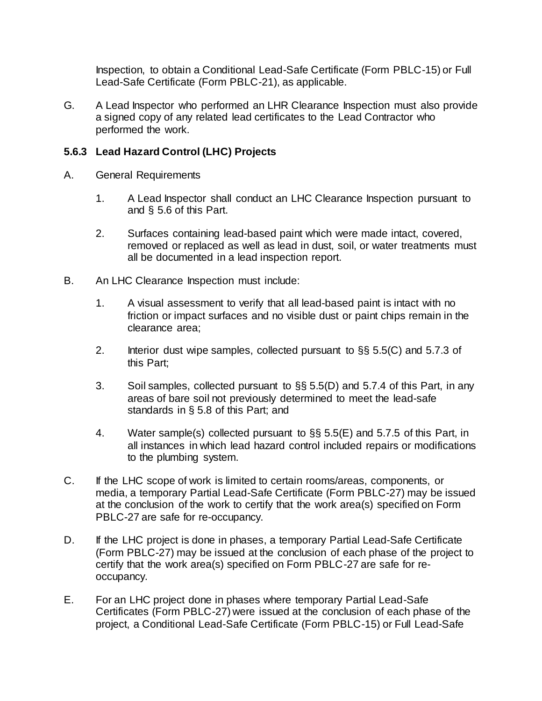Inspection, to obtain a Conditional Lead-Safe Certificate (Form PBLC-15) or Full Lead-Safe Certificate (Form PBLC-21), as applicable.

G. A Lead Inspector who performed an LHR Clearance Inspection must also provide a signed copy of any related lead certificates to the Lead Contractor who performed the work.

## **5.6.3 Lead Hazard Control (LHC) Projects**

- A. General Requirements
	- 1. A Lead Inspector shall conduct an LHC Clearance Inspection pursuant to and § 5.6 of this Part.
	- 2. Surfaces containing lead-based paint which were made intact, covered, removed or replaced as well as lead in dust, soil, or water treatments must all be documented in a lead inspection report.
- B. An LHC Clearance Inspection must include:
	- 1. A visual assessment to verify that all lead-based paint is intact with no friction or impact surfaces and no visible dust or paint chips remain in the clearance area;
	- 2. Interior dust wipe samples, collected pursuant to  $\S$ § 5.5(C) and 5.7.3 of this Part;
	- 3. Soil samples, collected pursuant to §§ 5.5(D) and 5.7.4 of this Part, in any areas of bare soil not previously determined to meet the lead-safe standards in § 5.8 of this Part; and
	- 4. Water sample(s) collected pursuant to §§ 5.5(E) and 5.7.5 of this Part, in all instances in which lead hazard control included repairs or modifications to the plumbing system.
- C. If the LHC scope of work is limited to certain rooms/areas, components, or media, a temporary Partial Lead-Safe Certificate (Form PBLC-27) may be issued at the conclusion of the work to certify that the work area(s) specified on Form PBLC-27 are safe for re-occupancy.
- D. If the LHC project is done in phases, a temporary Partial Lead-Safe Certificate (Form PBLC-27) may be issued at the conclusion of each phase of the project to certify that the work area(s) specified on Form PBLC-27 are safe for reoccupancy.
- E. For an LHC project done in phases where temporary Partial Lead-Safe Certificates (Form PBLC-27) were issued at the conclusion of each phase of the project, a Conditional Lead-Safe Certificate (Form PBLC-15) or Full Lead-Safe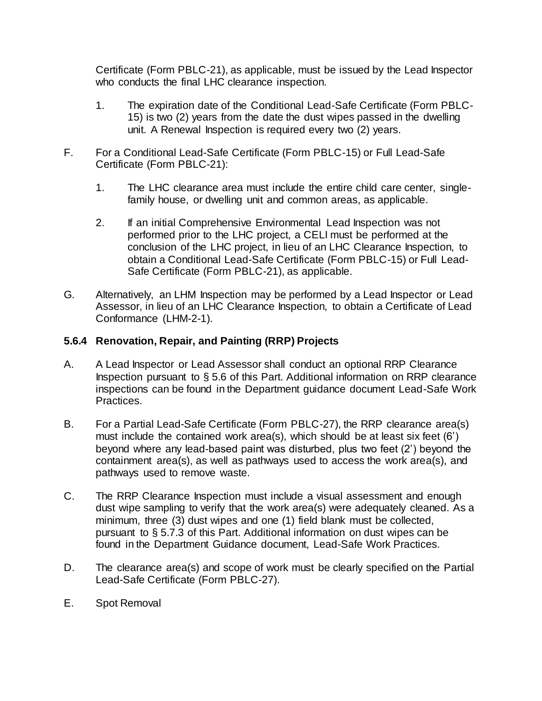Certificate (Form PBLC-21), as applicable, must be issued by the Lead Inspector who conducts the final LHC clearance inspection.

- 1. The expiration date of the Conditional Lead-Safe Certificate (Form PBLC-15) is two (2) years from the date the dust wipes passed in the dwelling unit. A Renewal Inspection is required every two (2) years.
- F. For a Conditional Lead-Safe Certificate (Form PBLC-15) or Full Lead-Safe Certificate (Form PBLC-21):
	- 1. The LHC clearance area must include the entire child care center, singlefamily house, or dwelling unit and common areas, as applicable.
	- 2. If an initial Comprehensive Environmental Lead Inspection was not performed prior to the LHC project, a CELI must be performed at the conclusion of the LHC project, in lieu of an LHC Clearance Inspection, to obtain a Conditional Lead-Safe Certificate (Form PBLC-15) or Full Lead-Safe Certificate (Form PBLC-21), as applicable.
- G. Alternatively, an LHM Inspection may be performed by a Lead Inspector or Lead Assessor, in lieu of an LHC Clearance Inspection, to obtain a Certificate of Lead Conformance (LHM-2-1).

### **5.6.4 Renovation, Repair, and Painting (RRP) Projects**

- A. A Lead Inspector or Lead Assessor shall conduct an optional RRP Clearance Inspection pursuant to § 5.6 of this Part. Additional information on RRP clearance inspections can be found in the Department guidance document Lead-Safe Work Practices.
- B. For a Partial Lead-Safe Certificate (Form PBLC-27), the RRP clearance area(s) must include the contained work area(s), which should be at least six feet (6') beyond where any lead-based paint was disturbed, plus two feet (2') beyond the containment area(s), as well as pathways used to access the work area(s), and pathways used to remove waste.
- C. The RRP Clearance Inspection must include a visual assessment and enough dust wipe sampling to verify that the work area(s) were adequately cleaned. As a minimum, three (3) dust wipes and one (1) field blank must be collected, pursuant to § 5.7.3 of this Part. Additional information on dust wipes can be found in the Department Guidance document, Lead-Safe Work Practices.
- D. The clearance area(s) and scope of work must be clearly specified on the Partial Lead-Safe Certificate (Form PBLC-27).
- E. Spot Removal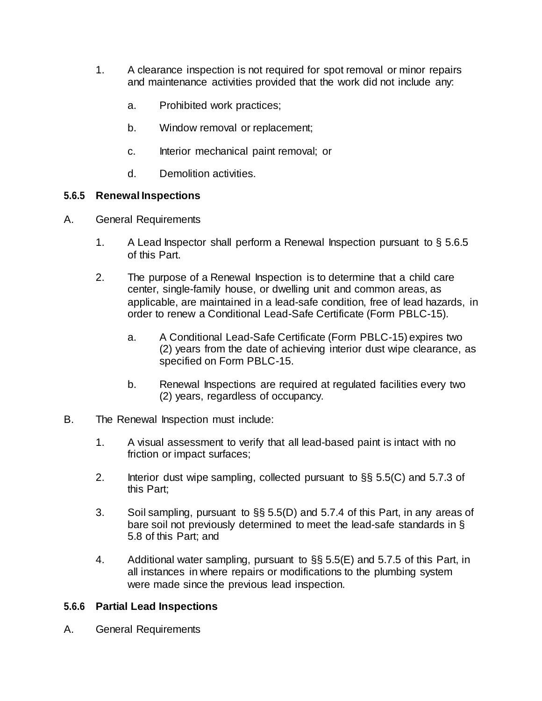- 1. A clearance inspection is not required for spot removal or minor repairs and maintenance activities provided that the work did not include any:
	- a. Prohibited work practices;
	- b. Window removal or replacement;
	- c. Interior mechanical paint removal; or
	- d. Demolition activities.

#### **5.6.5 Renewal Inspections**

- A. General Requirements
	- 1. A Lead Inspector shall perform a Renewal Inspection pursuant to  $\S 5.6.5$ of this Part.
	- 2. The purpose of a Renewal Inspection is to determine that a child care center, single-family house, or dwelling unit and common areas, as applicable, are maintained in a lead-safe condition, free of lead hazards, in order to renew a Conditional Lead-Safe Certificate (Form PBLC-15).
		- a. A Conditional Lead-Safe Certificate (Form PBLC-15) expires two (2) years from the date of achieving interior dust wipe clearance, as specified on Form PBLC-15.
		- b. Renewal Inspections are required at regulated facilities every two (2) years, regardless of occupancy.
- B. The Renewal Inspection must include:
	- 1. A visual assessment to verify that all lead-based paint is intact with no friction or impact surfaces;
	- 2. Interior dust wipe sampling, collected pursuant to §§ 5.5(C) and 5.7.3 of this Part;
	- 3. Soil sampling, pursuant to §§ 5.5(D) and 5.7.4 of this Part, in any areas of bare soil not previously determined to meet the lead-safe standards in § 5.8 of this Part; and
	- 4. Additional water sampling, pursuant to §§ 5.5(E) and 5.7.5 of this Part, in all instances in where repairs or modifications to the plumbing system were made since the previous lead inspection.

#### **5.6.6 Partial Lead Inspections**

A. General Requirements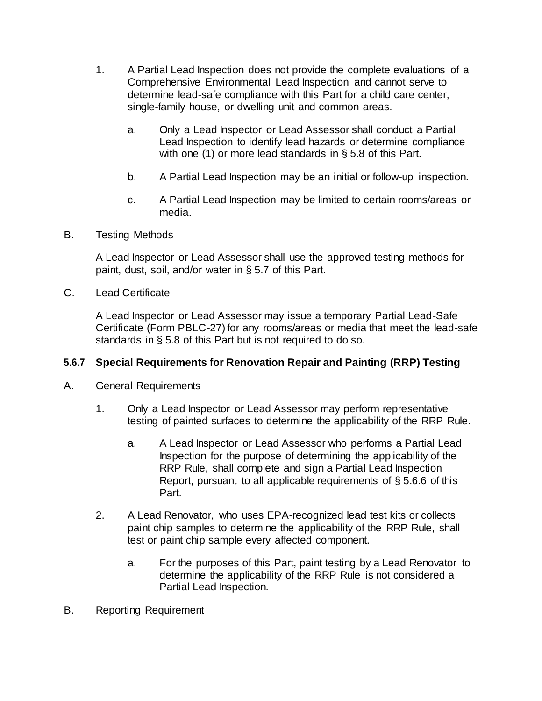- 1. A Partial Lead Inspection does not provide the complete evaluations of a Comprehensive Environmental Lead Inspection and cannot serve to determine lead-safe compliance with this Part for a child care center, single-family house, or dwelling unit and common areas.
	- a. Only a Lead Inspector or Lead Assessor shall conduct a Partial Lead Inspection to identify lead hazards or determine compliance with one (1) or more lead standards in § 5.8 of this Part.
	- b. A Partial Lead Inspection may be an initial or follow-up inspection.
	- c. A Partial Lead Inspection may be limited to certain rooms/areas or media.
- B. Testing Methods

A Lead Inspector or Lead Assessor shall use the approved testing methods for paint, dust, soil, and/or water in § 5.7 of this Part.

C. Lead Certificate

A Lead Inspector or Lead Assessor may issue a temporary Partial Lead-Safe Certificate (Form PBLC-27) for any rooms/areas or media that meet the lead-safe standards in § 5.8 of this Part but is not required to do so.

#### **5.6.7 Special Requirements for Renovation Repair and Painting (RRP) Testing**

- A. General Requirements
	- 1. Only a Lead Inspector or Lead Assessor may perform representative testing of painted surfaces to determine the applicability of the RRP Rule.
		- a. A Lead Inspector or Lead Assessor who performs a Partial Lead Inspection for the purpose of determining the applicability of the RRP Rule, shall complete and sign a Partial Lead Inspection Report, pursuant to all applicable requirements of § 5.6.6 of this Part.
	- 2. A Lead Renovator, who uses EPA-recognized lead test kits or collects paint chip samples to determine the applicability of the RRP Rule, shall test or paint chip sample every affected component.
		- a. For the purposes of this Part, paint testing by a Lead Renovator to determine the applicability of the RRP Rule is not considered a Partial Lead Inspection.
- B. Reporting Requirement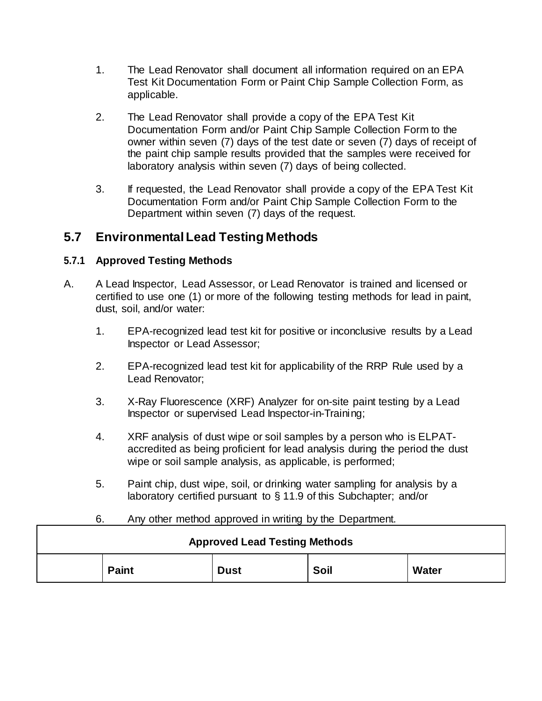- 1. The Lead Renovator shall document all information required on an EPA Test Kit Documentation Form or Paint Chip Sample Collection Form, as applicable.
- 2. The Lead Renovator shall provide a copy of the EPA Test Kit Documentation Form and/or Paint Chip Sample Collection Form to the owner within seven (7) days of the test date or seven (7) days of receipt of the paint chip sample results provided that the samples were received for laboratory analysis within seven (7) days of being collected.
- 3. If requested, the Lead Renovator shall provide a copy of the EPA Test Kit Documentation Form and/or Paint Chip Sample Collection Form to the Department within seven (7) days of the request.

## **5.7 Environmental Lead Testing Methods**

## **5.7.1 Approved Testing Methods**

- A. A Lead Inspector, Lead Assessor, or Lead Renovator is trained and licensed or certified to use one (1) or more of the following testing methods for lead in paint, dust, soil, and/or water:
	- 1. EPA-recognized lead test kit for positive or inconclusive results by a Lead Inspector or Lead Assessor;
	- 2. EPA-recognized lead test kit for applicability of the RRP Rule used by a Lead Renovator;
	- 3. X-Ray Fluorescence (XRF) Analyzer for on-site paint testing by a Lead Inspector or supervised Lead Inspector-in-Training;
	- 4. XRF analysis of dust wipe or soil samples by a person who is ELPATaccredited as being proficient for lead analysis during the period the dust wipe or soil sample analysis, as applicable, is performed;
	- 5. Paint chip, dust wipe, soil, or drinking water sampling for analysis by a laboratory certified pursuant to § 11.9 of this Subchapter; and/or

| Any other method approved in writing by the Department.<br>6. |              |             |      |       |  |  |  |
|---------------------------------------------------------------|--------------|-------------|------|-------|--|--|--|
| <b>Approved Lead Testing Methods</b>                          |              |             |      |       |  |  |  |
|                                                               | <b>Paint</b> | <b>Dust</b> | Soil | Water |  |  |  |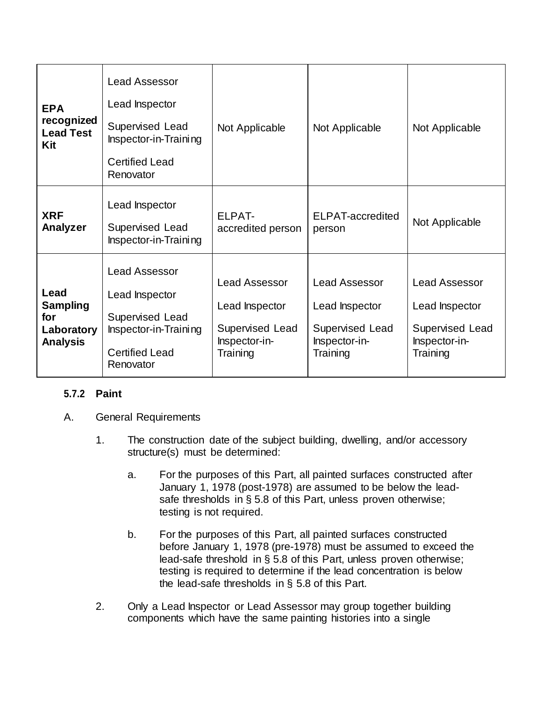| <b>EPA</b><br>recognized<br><b>Lead Test</b><br>Kit             | <b>Lead Assessor</b><br>Lead Inspector<br>Supervised Lead<br>Inspector-in-Training<br><b>Certified Lead</b><br>Renovator | Not Applicable                                                                         | Not Applicable                                                                         | Not Applicable                                                                         |
|-----------------------------------------------------------------|--------------------------------------------------------------------------------------------------------------------------|----------------------------------------------------------------------------------------|----------------------------------------------------------------------------------------|----------------------------------------------------------------------------------------|
| <b>XRF</b><br>Analyzer                                          | Lead Inspector<br>Supervised Lead<br>Inspector-in-Training                                                               | ELPAT-<br>accredited person                                                            | ELPAT-accredited<br>person                                                             | Not Applicable                                                                         |
| Lead<br><b>Sampling</b><br>for<br>Laboratory<br><b>Analysis</b> | <b>Lead Assessor</b><br>Lead Inspector<br>Supervised Lead<br>Inspector-in-Training<br><b>Certified Lead</b><br>Renovator | <b>Lead Assessor</b><br>Lead Inspector<br>Supervised Lead<br>Inspector-in-<br>Training | <b>Lead Assessor</b><br>Lead Inspector<br>Supervised Lead<br>Inspector-in-<br>Training | <b>Lead Assessor</b><br>Lead Inspector<br>Supervised Lead<br>Inspector-in-<br>Training |

## **5.7.2 Paint**

- A. General Requirements
	- 1. The construction date of the subject building, dwelling, and/or accessory structure(s) must be determined:
		- a. For the purposes of this Part, all painted surfaces constructed after January 1, 1978 (post-1978) are assumed to be below the leadsafe thresholds in § 5.8 of this Part, unless proven otherwise; testing is not required.
		- b. For the purposes of this Part, all painted surfaces constructed before January 1, 1978 (pre-1978) must be assumed to exceed the lead-safe threshold in § 5.8 of this Part, unless proven otherwise; testing is required to determine if the lead concentration is below the lead-safe thresholds in § 5.8 of this Part.
	- 2. Only a Lead Inspector or Lead Assessor may group together building components which have the same painting histories into a single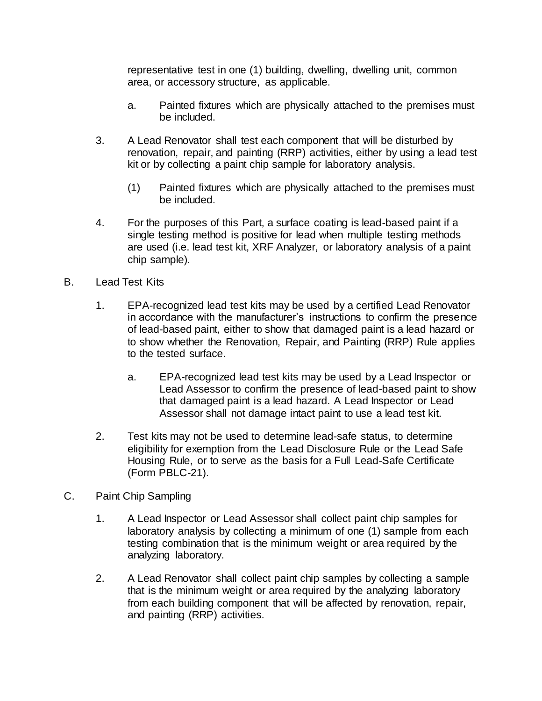representative test in one (1) building, dwelling, dwelling unit, common area, or accessory structure, as applicable.

- a. Painted fixtures which are physically attached to the premises must be included.
- 3. A Lead Renovator shall test each component that will be disturbed by renovation, repair, and painting (RRP) activities, either by using a lead test kit or by collecting a paint chip sample for laboratory analysis.
	- (1) Painted fixtures which are physically attached to the premises must be included.
- 4. For the purposes of this Part, a surface coating is lead-based paint if a single testing method is positive for lead when multiple testing methods are used (i.e. lead test kit, XRF Analyzer, or laboratory analysis of a paint chip sample).
- B. Lead Test Kits
	- 1. EPA-recognized lead test kits may be used by a certified Lead Renovator in accordance with the manufacturer's instructions to confirm the presence of lead-based paint, either to show that damaged paint is a lead hazard or to show whether the Renovation, Repair, and Painting (RRP) Rule applies to the tested surface.
		- a. EPA-recognized lead test kits may be used by a Lead Inspector or Lead Assessor to confirm the presence of lead-based paint to show that damaged paint is a lead hazard. A Lead Inspector or Lead Assessor shall not damage intact paint to use a lead test kit.
	- 2. Test kits may not be used to determine lead-safe status, to determine eligibility for exemption from the Lead Disclosure Rule or the Lead Safe Housing Rule, or to serve as the basis for a Full Lead-Safe Certificate (Form PBLC-21).
- C. Paint Chip Sampling
	- 1. A Lead Inspector or Lead Assessor shall collect paint chip samples for laboratory analysis by collecting a minimum of one (1) sample from each testing combination that is the minimum weight or area required by the analyzing laboratory.
	- 2. A Lead Renovator shall collect paint chip samples by collecting a sample that is the minimum weight or area required by the analyzing laboratory from each building component that will be affected by renovation, repair, and painting (RRP) activities.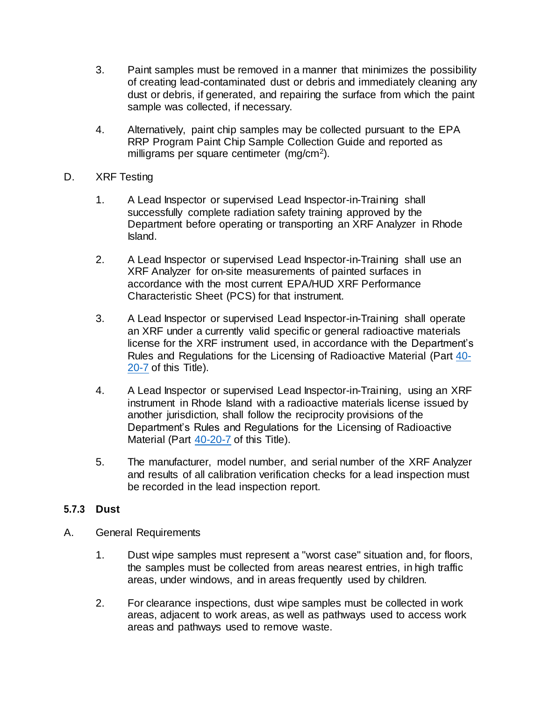- 3. Paint samples must be removed in a manner that minimizes the possibility of creating lead-contaminated dust or debris and immediately cleaning any dust or debris, if generated, and repairing the surface from which the paint sample was collected, if necessary.
- 4. Alternatively, paint chip samples may be collected pursuant to the EPA RRP Program Paint Chip Sample Collection Guide and reported as milligrams per square centimeter (mg/cm<sup>2</sup>).

### D. XRF Testing

- 1. A Lead Inspector or supervised Lead Inspector-in-Training shall successfully complete radiation safety training approved by the Department before operating or transporting an XRF Analyzer in Rhode Island.
- 2. A Lead Inspector or supervised Lead Inspector-in-Training shall use an XRF Analyzer for on-site measurements of painted surfaces in accordance with the most current EPA/HUD XRF Performance Characteristic Sheet (PCS) for that instrument.
- 3. A Lead Inspector or supervised Lead Inspector-in-Training shall operate an XRF under a currently valid specific or general radioactive materials license for the XRF instrument used, in accordance with the Department's Rules and Regulations for the Licensing of Radioactive Material (Part [40-](https://rules.sos.ri.gov/regulations/part/216-40-20-7) [20-7](https://rules.sos.ri.gov/regulations/part/216-40-20-7) of this Title).
- 4. A Lead Inspector or supervised Lead Inspector-in-Training, using an XRF instrument in Rhode Island with a radioactive materials license issued by another jurisdiction, shall follow the reciprocity provisions of the Department's Rules and Regulations for the Licensing of Radioactive Material (Part [40-20-7](https://rules.sos.ri.gov/regulations/part/216-40-20-7) of this Title).
- 5. The manufacturer, model number, and serial number of the XRF Analyzer and results of all calibration verification checks for a lead inspection must be recorded in the lead inspection report.

#### **5.7.3 Dust**

- A. General Requirements
	- 1. Dust wipe samples must represent a "worst case" situation and, for floors, the samples must be collected from areas nearest entries, in high traffic areas, under windows, and in areas frequently used by children.
	- 2. For clearance inspections, dust wipe samples must be collected in work areas, adjacent to work areas, as well as pathways used to access work areas and pathways used to remove waste.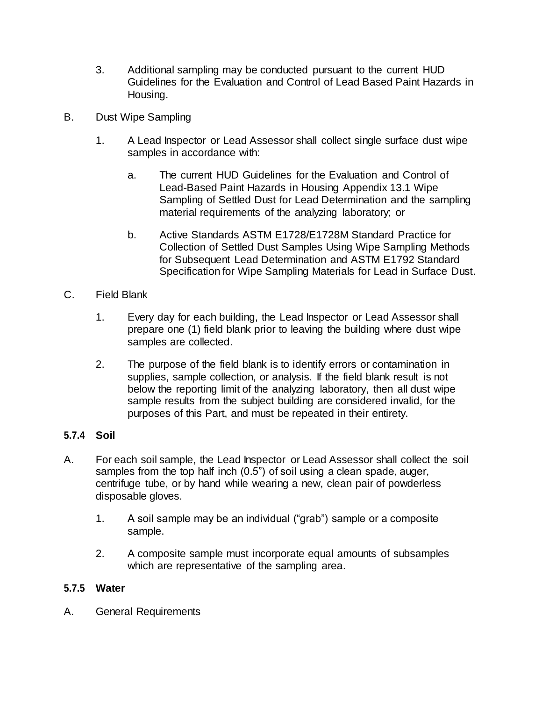- 3. Additional sampling may be conducted pursuant to the current HUD Guidelines for the Evaluation and Control of Lead Based Paint Hazards in Housing.
- B. Dust Wipe Sampling
	- 1. A Lead Inspector or Lead Assessor shall collect single surface dust wipe samples in accordance with:
		- a. The current HUD Guidelines for the Evaluation and Control of Lead-Based Paint Hazards in Housing Appendix 13.1 Wipe Sampling of Settled Dust for Lead Determination and the sampling material requirements of the analyzing laboratory; or
		- b. Active Standards ASTM E1728/E1728M Standard Practice for Collection of Settled Dust Samples Using Wipe Sampling Methods for Subsequent Lead Determination and ASTM E1792 Standard Specification for Wipe Sampling Materials for Lead in Surface Dust.
- C. Field Blank
	- 1. Every day for each building, the Lead Inspector or Lead Assessor shall prepare one (1) field blank prior to leaving the building where dust wipe samples are collected.
	- 2. The purpose of the field blank is to identify errors or contamination in supplies, sample collection, or analysis. If the field blank result is not below the reporting limit of the analyzing laboratory, then all dust wipe sample results from the subject building are considered invalid, for the purposes of this Part, and must be repeated in their entirety.

## **5.7.4 Soil**

- A. For each soil sample, the Lead Inspector or Lead Assessor shall collect the soil samples from the top half inch (0.5") of soil using a clean spade, auger, centrifuge tube, or by hand while wearing a new, clean pair of powderless disposable gloves.
	- 1. A soil sample may be an individual ("grab") sample or a composite sample.
	- 2. A composite sample must incorporate equal amounts of subsamples which are representative of the sampling area.

## **5.7.5 Water**

A. General Requirements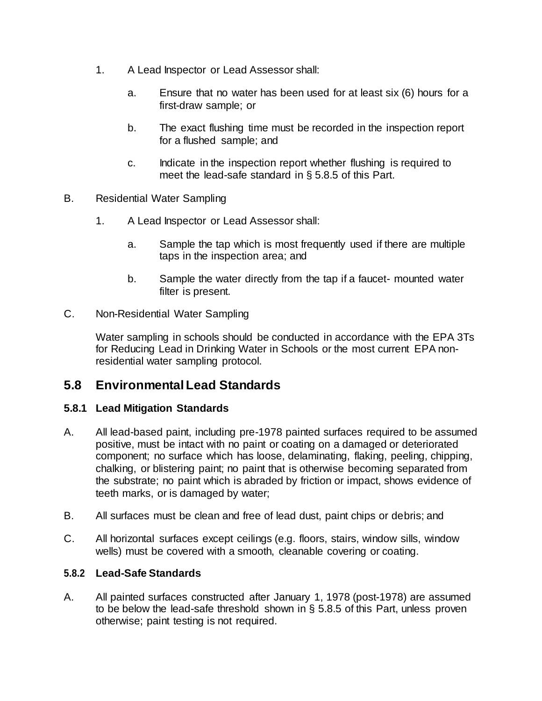- 1. A Lead Inspector or Lead Assessor shall:
	- a. Ensure that no water has been used for at least six (6) hours for a first-draw sample; or
	- b. The exact flushing time must be recorded in the inspection report for a flushed sample; and
	- c. Indicate in the inspection report whether flushing is required to meet the lead-safe standard in § 5.8.5 of this Part.
- B. Residential Water Sampling
	- 1. A Lead Inspector or Lead Assessor shall:
		- a. Sample the tap which is most frequently used if there are multiple taps in the inspection area; and
		- b. Sample the water directly from the tap if a faucet- mounted water filter is present.
- C. Non-Residential Water Sampling

Water sampling in schools should be conducted in accordance with the EPA 3Ts for Reducing Lead in Drinking Water in Schools or the most current EPA nonresidential water sampling protocol.

## **5.8 Environmental Lead Standards**

## **5.8.1 Lead Mitigation Standards**

- A. All lead-based paint, including pre-1978 painted surfaces required to be assumed positive, must be intact with no paint or coating on a damaged or deteriorated component; no surface which has loose, delaminating, flaking, peeling, chipping, chalking, or blistering paint; no paint that is otherwise becoming separated from the substrate; no paint which is abraded by friction or impact, shows evidence of teeth marks, or is damaged by water;
- B. All surfaces must be clean and free of lead dust, paint chips or debris; and
- C. All horizontal surfaces except ceilings (e.g. floors, stairs, window sills, window wells) must be covered with a smooth, cleanable covering or coating.

## **5.8.2 Lead-Safe Standards**

A. All painted surfaces constructed after January 1, 1978 (post-1978) are assumed to be below the lead-safe threshold shown in § 5.8.5 of this Part, unless proven otherwise; paint testing is not required.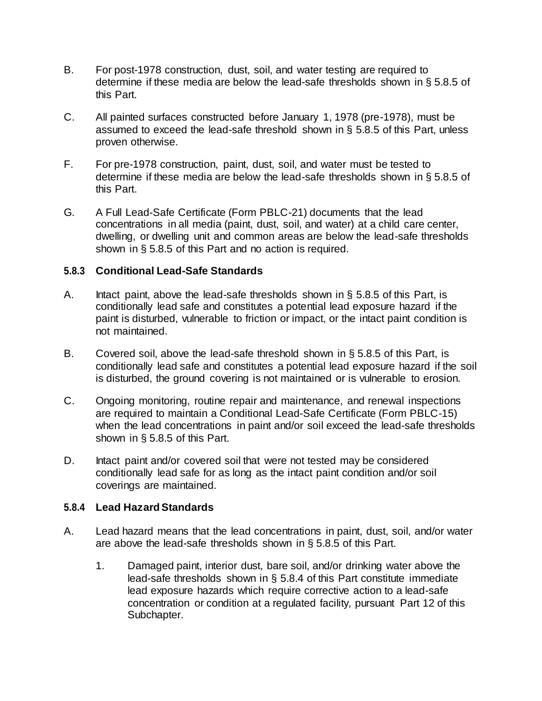- B. For post-1978 construction, dust, soil, and water testing are required to determine if these media are below the lead-safe thresholds shown in § 5.8.5 of this Part.
- C. All painted surfaces constructed before January 1, 1978 (pre-1978), must be assumed to exceed the lead-safe threshold shown in § 5.8.5 of this Part, unless proven otherwise.
- F. For pre-1978 construction, paint, dust, soil, and water must be tested to determine if these media are below the lead-safe thresholds shown in § 5.8.5 of this Part.
- G. A Full Lead-Safe Certificate (Form PBLC-21) documents that the lead concentrations in all media (paint, dust, soil, and water) at a child care center, dwelling, or dwelling unit and common areas are below the lead-safe thresholds shown in § 5.8.5 of this Part and no action is required.

### **5.8.3 Conditional Lead-Safe Standards**

- A. Intact paint, above the lead-safe thresholds shown in § 5.8.5 of this Part, is conditionally lead safe and constitutes a potential lead exposure hazard if the paint is disturbed, vulnerable to friction or impact, or the intact paint condition is not maintained.
- B. Covered soil, above the lead-safe threshold shown in § 5.8.5 of this Part, is conditionally lead safe and constitutes a potential lead exposure hazard if the soil is disturbed, the ground covering is not maintained or is vulnerable to erosion.
- C. Ongoing monitoring, routine repair and maintenance, and renewal inspections are required to maintain a Conditional Lead-Safe Certificate (Form PBLC-15) when the lead concentrations in paint and/or soil exceed the lead-safe thresholds shown in § 5.8.5 of this Part.
- D. Intact paint and/or covered soil that were not tested may be considered conditionally lead safe for as long as the intact paint condition and/or soil coverings are maintained.

#### **5.8.4 Lead HazardStandards**

- A. Lead hazard means that the lead concentrations in paint, dust, soil, and/or water are above the lead-safe thresholds shown in § 5.8.5 of this Part.
	- 1. Damaged paint, interior dust, bare soil, and/or drinking water above the lead-safe thresholds shown in § 5.8.4 of this Part constitute immediate lead exposure hazards which require corrective action to a lead-safe concentration or condition at a regulated facility, pursuant Part 12 of this Subchapter.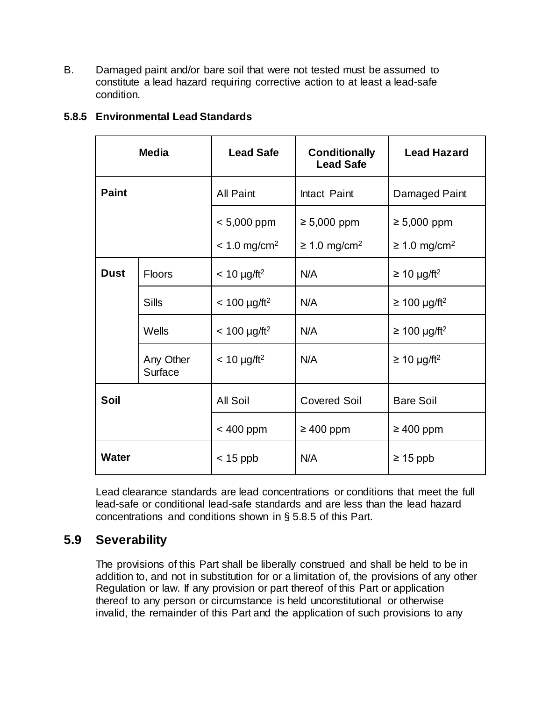B. Damaged paint and/or bare soil that were not tested must be assumed to constitute a lead hazard requiring corrective action to at least a lead-safe condition.

| <b>Media</b> |                             | <b>Lead Safe</b>            | <b>Conditionally</b><br><b>Lead Safe</b> | <b>Lead Hazard</b>            |
|--------------|-----------------------------|-----------------------------|------------------------------------------|-------------------------------|
| <b>Paint</b> |                             | All Paint                   | Intact Paint                             | Damaged Paint                 |
|              |                             | $< 5,000$ ppm               | $\geq 5,000$ ppm                         | $\geq 5,000$ ppm              |
|              |                             | $< 1.0$ mg/cm <sup>2</sup>  | $\geq$ 1.0 mg/cm <sup>2</sup>            | $\geq$ 1.0 mg/cm <sup>2</sup> |
| <b>Dust</b>  | <b>Floors</b>               | $< 10 \mu g / \text{ft}^2$  | N/A                                      | $\geq$ 10 µg/ft <sup>2</sup>  |
|              | <b>Sills</b>                | $< 100 \mu g / \text{ft}^2$ | N/A                                      | $≥ 100 \mu g/ft^2$            |
|              | Wells                       | $< 100 \mu g / \text{ft}^2$ | N/A                                      | $\geq$ 100 µg/ft <sup>2</sup> |
|              | Any Other<br><b>Surface</b> | $< 10 \mu g / \text{ft}^2$  | N/A                                      | $\geq$ 10 µg/ft <sup>2</sup>  |
| <b>Soil</b>  |                             | <b>All Soil</b>             | <b>Covered Soil</b>                      | <b>Bare Soil</b>              |
|              |                             | < 400 ppm                   | $\geq 400$ ppm                           | $\geq 400$ ppm                |
| <b>Water</b> |                             | $<$ 15 ppb                  | N/A                                      | $\geq 15$ ppb                 |

## **5.8.5 Environmental Lead Standards**

Lead clearance standards are lead concentrations or conditions that meet the full lead-safe or conditional lead-safe standards and are less than the lead hazard concentrations and conditions shown in § 5.8.5 of this Part.

## **5.9 Severability**

The provisions of this Part shall be liberally construed and shall be held to be in addition to, and not in substitution for or a limitation of, the provisions of any other Regulation or law. If any provision or part thereof of this Part or application thereof to any person or circumstance is held unconstitutional or otherwise invalid, the remainder of this Part and the application of such provisions to any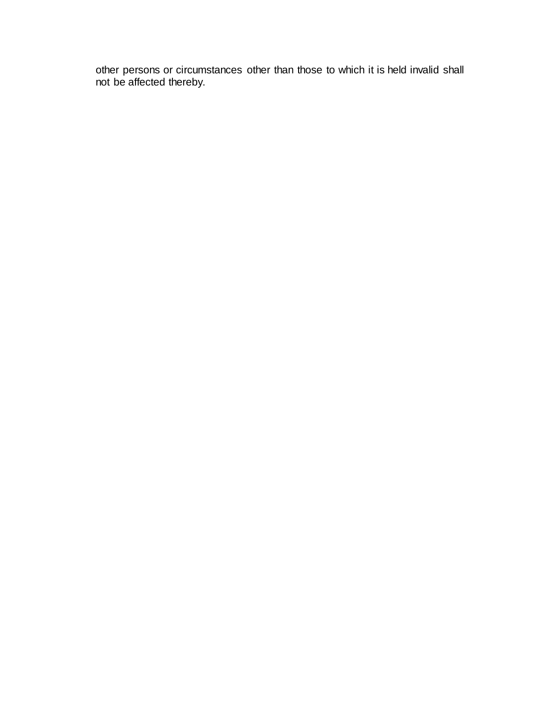other persons or circumstances other than those to which it is held invalid shall not be affected thereby.